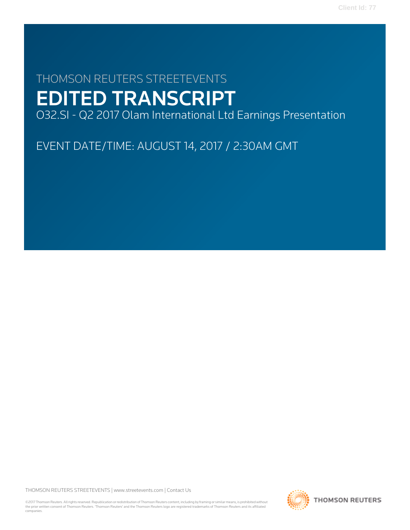# THOMSON REUTERS STREETEVENTS EDITED TRANSCRIPT

O32.SI - Q2 2017 Olam International Ltd Earnings Presentation

EVENT DATE/TIME: AUGUST 14, 2017 / 2:30AM GMT

THOMSON REUTERS STREETEVENTS | [www.streetevents.com](http://www.streetevents.com) | [Contact Us](http://www010.streetevents.com/contact.asp)

©2017 Thomson Reuters. All rights reserved. Republication or redistribution of Thomson Reuters content, including by framing or similar means, is prohibited without the prior written consent of Thomson Reuters. 'Thomson Reuters' and the Thomson Reuters logo are registered trademarks of Thomson Reuters and its affiliated companies.

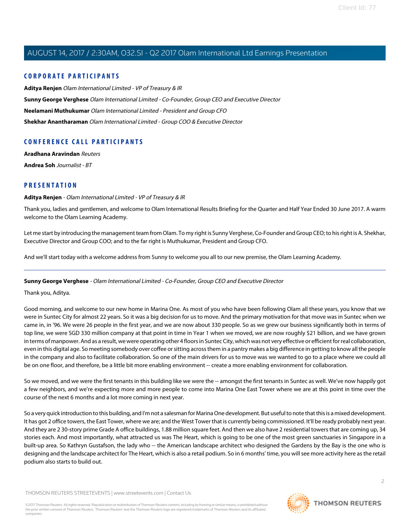#### **CORPORATE PARTICIPANTS**

**[Aditya Renjen](#page-1-0)** Olam International Limited - VP of Treasury & IR **[Sunny George Verghese](#page-1-1)** Olam International Limited - Co-Founder, Group CEO and Executive Director **[Neelamani Muthukumar](#page-5-0)** Olam International Limited - President and Group CFO **[Shekhar Anantharaman](#page-8-0)** Olam International Limited - Group COO & Executive Director

## **CONFERENCE CALL PARTICIPANTS**

**[Aradhana Aravindan](#page-8-1)** Reuters **[Andrea Soh](#page-10-0)** Journalist - BT

### <span id="page-1-0"></span>**PRESENTATION**

#### **Aditya Renjen** - Olam International Limited - VP of Treasury & IR

Thank you, ladies and gentlemen, and welcome to Olam International Results Briefing for the Quarter and Half Year Ended 30 June 2017. A warm welcome to the Olam Learning Academy.

Let me start by introducing the management team from Olam. To my right is Sunny Verghese, Co-Founder and Group CEO; to his right is A. Shekhar, Executive Director and Group COO; and to the far right is Muthukumar, President and Group CFO.

<span id="page-1-1"></span>And we'll start today with a welcome address from Sunny to welcome you all to our new premise, the Olam Learning Academy.

#### **Sunny George Verghese** - Olam International Limited - Co-Founder, Group CEO and Executive Director

Thank you, Aditya.

Good morning, and welcome to our new home in Marina One. As most of you who have been following Olam all these years, you know that we were in Suntec City for almost 22 years. So it was a big decision for us to move. And the primary motivation for that move was in Suntec when we came in, in '96. We were 26 people in the first year, and we are now about 330 people. So as we grew our business significantly both in terms of top line, we were SGD 330 million company at that point in time in Year 1 when we moved, we are now roughly \$21 billion, and we have grown in terms of manpower. And as a result, we were operating other 4 floors in Suntec City, which was not very effective or efficient for real collaboration, even in this digital age. So meeting somebody over coffee or sitting across them in a pantry makes a big difference in getting to know all the people in the company and also to facilitate collaboration. So one of the main drivers for us to move was we wanted to go to a place where we could all be on one floor, and therefore, be a little bit more enabling environment -- create a more enabling environment for collaboration.

So we moved, and we were the first tenants in this building like we were the -- amongst the first tenants in Suntec as well. We've now happily got a few neighbors, and we're expecting more and more people to come into Marina One East Tower where we are at this point in time over the course of the next 6 months and a lot more coming in next year.

So a very quick introduction to this building, and I'm not a salesman for Marina One development. But useful to note that this is a mixed development. It has got 2 office towers, the East Tower, where we are; and the West Tower that is currently being commissioned. It'll be ready probably next year. And they are 2 30-story prime Grade A office buildings, 1.88 million square feet. And then we also have 2 residential towers that are coming up, 34 stories each. And most importantly, what attracted us was The Heart, which is going to be one of the most green sanctuaries in Singapore in a built-up area. So Kathryn Gustafson, the lady who -- the American landscape architect who designed the Gardens by the Bay is the one who is designing and the landscape architect for The Heart, which is also a retail podium. So in 6 months' time, you will see more activity here as the retail podium also starts to build out.

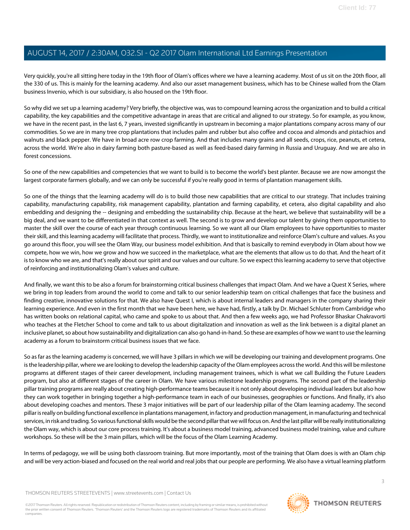Very quickly, you're all sitting here today in the 19th floor of Olam's offices where we have a learning academy. Most of us sit on the 20th floor, all the 330 of us. This is mainly for the learning academy. And also our asset management business, which has to be Chinese walled from the Olam business Invenio, which is our subsidiary, is also housed on the 19th floor.

So why did we set up a learning academy? Very briefly, the objective was, was to compound learning across the organization and to build a critical capability, the key capabilities and the competitive advantage in areas that are critical and aligned to our strategy. So for example, as you know, we have in the recent past, in the last 6, 7 years, invested significantly in upstream in becoming a major plantations company across many of our commodities. So we are in many tree crop plantations that includes palm and rubber but also coffee and cocoa and almonds and pistachios and walnuts and black pepper. We have in broad acre row crop farming. And that includes many grains and all seeds, crops, rice, peanuts, et cetera, across the world. We're also in dairy farming both pasture-based as well as feed-based dairy farming in Russia and Uruguay. And we are also in forest concessions.

So one of the new capabilities and competencies that we want to build is to become the world's best planter. Because we are now amongst the largest corporate farmers globally, and we can only be successful if you're really good in terms of plantation management skills.

So one of the things that the learning academy will do is to build those new capabilities that are critical to our strategy. That includes training capability, manufacturing capability, risk management capability, plantation and farming capability, et cetera, also digital capability and also embedding and designing the -- designing and embedding the sustainability chip. Because at the heart, we believe that sustainability will be a big deal, and we want to be differentiated in that context as well. The second is to grow and develop our talent by giving them opportunities to master the skill over the course of each year through continuous learning. So we want all our Olam employees to have opportunities to master their skill, and this learning academy will facilitate that process. Thirdly, we want to institutionalize and reinforce Olam's culture and values. As you go around this floor, you will see the Olam Way, our business model exhibition. And that is basically to remind everybody in Olam about how we compete, how we win, how we grow and how we succeed in the marketplace, what are the elements that allow us to do that. And the heart of it is to know who we are, and that's really about our spirit and our values and our culture. So we expect this learning academy to serve that objective of reinforcing and institutionalizing Olam's values and culture.

And finally, we want this to be also a forum for brainstorming critical business challenges that impact Olam. And we have a Quest X Series, where we bring in top leaders from around the world to come and talk to our senior leadership team on critical challenges that face the business and finding creative, innovative solutions for that. We also have Quest I, which is about internal leaders and managers in the company sharing their learning experience. And even in the first month that we have been here, we have had, firstly, a talk by Dr. Michael Schluter from Cambridge who has written books on relational capital, who came and spoke to us about that. And then a few weeks ago, we had Professor Bhaskar Chakravorti who teaches at the Fletcher School to come and talk to us about digitalization and innovation as well as the link between is a digital planet an inclusive planet, so about how sustainability and digitalization can also go hand-in-hand. So these are examples of how we want to use the learning academy as a forum to brainstorm critical business issues that we face.

So as far as the learning academy is concerned, we will have 3 pillars in which we will be developing our training and development programs. One is the leadership pillar, where we are looking to develop the leadership capacity of the Olam employees across the world. And this will be milestone programs at different stages of their career development, including management trainees, which is what we call Building the Future Leaders program, but also at different stages of the career in Olam. We have various milestone leadership programs. The second part of the leadership pillar training programs are really about creating high-performance teams because it is not only about developing individual leaders but also how they can work together in bringing together a high-performance team in each of our businesses, geographies or functions. And finally, it's also about developing coaches and mentors. These 3 major initiatives will be part of our leadership pillar of the Olam learning academy. The second pillar is really on building functional excellence in plantations management, in factory and production management, in manufacturing and technical services, in risk and trading. So various functional skills would be the second pillar that we will focus on. And the last pillar will be really institutionalizing the Olam way, which is about our core process training. It's about a business model training, advanced business model training, value and culture workshops. So these will be the 3 main pillars, which will be the focus of the Olam Learning Academy.

In terms of pedagogy, we will be using both classroom training. But more importantly, most of the training that Olam does is with an Olam chip and will be very action-biased and focused on the real world and real jobs that our people are performing. We also have a virtual learning platform

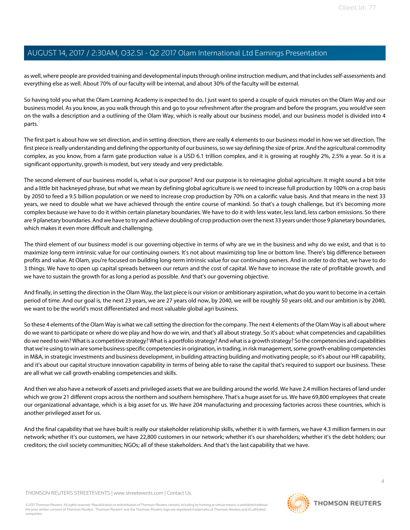as well, where people are provided training and developmental inputs through online instruction medium, and that includes self-assessments and everything else as well. About 70% of our faculty will be internal, and about 30% of the faculty will be external.

So having told you what the Olam Learning Academy is expected to do, I just want to spend a couple of quick minutes on the Olam Way and our business model. As you know, as you walk through this and go to your refreshment after the program and before the program, you would've seen on the walls a description and a outlining of the Olam Way, which is really about our business model, and our business model is divided into 4 parts.

The first part is about how we set direction, and in setting direction, there are really 4 elements to our business model in how we set direction. The first piece is really understanding and defining the opportunity of our business, so we say defining the size of prize. And the agricultural commodity complex, as you know, from a farm gate production value is a USD 6.1 trillion complex, and it is growing at roughly 2%, 2.5% a year. So it is a significant opportunity, growth is modest, but very steady and very predictable.

The second element of our business model is, what is our purpose? And our purpose is to reimagine global agriculture. It might sound a bit trite and a little bit hackneyed phrase, but what we mean by defining global agriculture is we need to increase full production by 100% on a crop basis by 2050 to feed a 9.5 billion population or we need to increase crop production by 70% on a calorific value basis. And that means in the next 33 years, we need to double what we have achieved through the entire course of mankind. So that's a tough challenge, but it's becoming more complex because we have to do it within certain planetary boundaries. We have to do it with less water, less land, less carbon emissions. So there are 9 planetary boundaries. And we have to try and achieve doubling of crop production over the next 33 years under those 9 planetary boundaries, which makes it even more difficult and challenging.

The third element of our business model is our governing objective in terms of why are we in the business and why do we exist, and that is to maximize long-term intrinsic value for our continuing owners. It's not about maximizing top line or bottom line. There's big difference between profits and value. At Olam, you're focused on building long-term intrinsic value for our continuing owners. And in order to do that, we have to do 3 things. We have to open up capital spreads between our return and the cost of capital. We have to increase the rate of profitable growth, and we have to sustain the growth for as long a period as possible. And that's our governing objective.

And finally, in setting the direction in the Olam Way, the last piece is our vision or ambitionary aspiration, what do you want to become in a certain period of time. And our goal is, the next 23 years, we are 27 years old now, by 2040, we will be roughly 50 years old, and our ambition is by 2040, we want to be the world's most differentiated and most valuable global agri business.

So these 4 elements of the Olam Way is what we call setting the direction for the company. The next 4 elements of the Olam Way is all about where do we want to participate or where do we play and how do we win, and that's all about strategy. So it's about: what competencies and capabilities do we need to win? What is a competitive strategy? What is a portfolio strategy? And what is a growth strategy? So the competencies and capabilities that we're using to win are some business-specific competencies in origination, in trading, in risk management, some growth-enabling competencies in M&A, in strategic investments and business development, in building attracting building and motivating people, so it's about our HR capability, and it's about our capital structure innovation capability in terms of being able to raise the capital that's required to support our business. These are all what we call growth-enabling competencies and skills.

And then we also have a network of assets and privileged assets that we are building around the world. We have 2.4 million hectares of land under which we grow 21 different crops across the northern and southern hemisphere. That's a huge asset for us. We have 69,800 employees that create our organizational advantage, which is a big asset for us. We have 204 manufacturing and processing factories across these countries, which is another privileged asset for us.

And the final capability that we have built is really our stakeholder relationship skills, whether it is with farmers, we have 4.3 million farmers in our network; whether it's our customers, we have 22,800 customers in our network; whether it's our shareholders; whether it's the debt holders; our creditors; the civil society communities; NGOs; all of these stakeholders. And that's the last capability that we have.

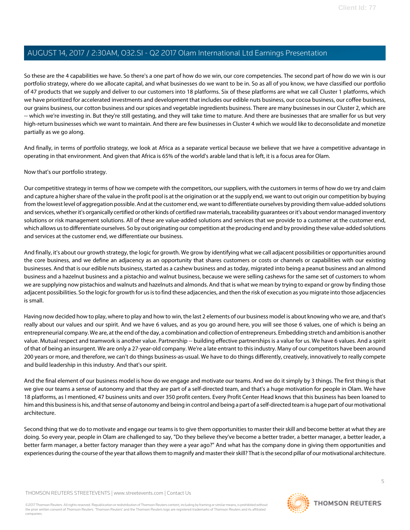So these are the 4 capabilities we have. So there's a one part of how do we win, our core competencies. The second part of how do we win is our portfolio strategy, where do we allocate capital, and what businesses do we want to be in. So as all of you know, we have classified our portfolio of 47 products that we supply and deliver to our customers into 18 platforms. Six of these platforms are what we call Cluster 1 platforms, which we have prioritized for accelerated investments and development that includes our edible nuts business, our cocoa business, our coffee business, our grains business, our cotton business and our spices and vegetable ingredients business. There are many businesses in our Cluster 2, which are -- which we're investing in. But they're still gestating, and they will take time to mature. And there are businesses that are smaller for us but very high-return businesses which we want to maintain. And there are few businesses in Cluster 4 which we would like to deconsolidate and monetize partially as we go along.

And finally, in terms of portfolio strategy, we look at Africa as a separate vertical because we believe that we have a competitive advantage in operating in that environment. And given that Africa is 65% of the world's arable land that is left, it is a focus area for Olam.

Now that's our portfolio strategy.

Our competitive strategy in terms of how we compete with the competitors, our suppliers, with the customers in terms of how do we try and claim and capture a higher share of the value in the profit pool is at the origination or at the supply end, we want to out origin our competition by buying from the lowest level of aggregation possible. And at the customer end, we want to differentiate ourselves by providing them value-added solutions and services, whether it's organically certified or other kinds of certified raw materials, traceability guarantees or it's about vendor managed inventory solutions or risk management solutions. All of these are value-added solutions and services that we provide to a customer at the customer end, which allows us to differentiate ourselves. So by out originating our competition at the producing end and by providing these value-added solutions and services at the customer end, we differentiate our business.

And finally, it's about our growth strategy, the logic for growth. We grow by identifying what we call adjacent possibilities or opportunities around the core business, and we define an adjacency as an opportunity that shares customers or costs or channels or capabilities with our existing businesses. And that is our edible nuts business, started as a cashew business and as today, migrated into being a peanut business and an almond business and a hazelnut business and a pistachio and walnut business, because we were selling cashews for the same set of customers to whom we are supplying now pistachios and walnuts and hazelnuts and almonds. And that is what we mean by trying to expand or grow by finding those adjacent possibilities. So the logic for growth for us is to find these adjacencies, and then the risk of execution as you migrate into those adjacencies is small.

Having now decided how to play, where to play and how to win, the last 2 elements of our business model is about knowing who we are, and that's really about our values and our spirit. And we have 6 values, and as you go around here, you will see those 6 values, one of which is being an entrepreneurial company. We are, at the end of the day, a combination and collection of entrepreneurs. Embedding stretch and ambition is another value. Mutual respect and teamwork is another value. Partnership -- building effective partnerships is a value for us. We have 6 values. And a spirit of that of being an insurgent. We are only a 27-year-old company. We're a late entrant to this industry. Many of our competitors have been around 200 years or more, and therefore, we can't do things business-as-usual. We have to do things differently, creatively, innovatively to really compete and build leadership in this industry. And that's our spirit.

And the final element of our business model is how do we engage and motivate our teams. And we do it simply by 3 things. The first thing is that we give our teams a sense of autonomy and that they are part of a self-directed team, and that's a huge motivation for people in Olam. We have 18 platforms, as I mentioned, 47 business units and over 350 profit centers. Every Profit Center Head knows that this business has been loaned to him and this business is his, and that sense of autonomy and being in control and being a part of a self-directed team is a huge part of our motivational architecture.

Second thing that we do to motivate and engage our teams is to give them opportunities to master their skill and become better at what they are doing. So every year, people in Olam are challenged to say, "Do they believe they've become a better trader, a better manager, a better leader, a better farm manager, a better factory manager than they were a year ago?" And what has the company done in giving them opportunities and experiences during the course of the year that allows them to magnify and master their skill? That is the second pillar of our motivational architecture.

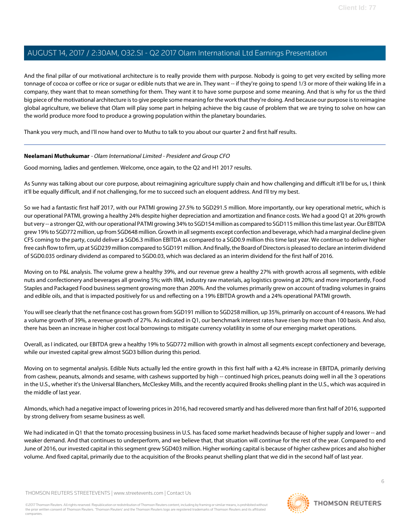And the final pillar of our motivational architecture is to really provide them with purpose. Nobody is going to get very excited by selling more tonnage of cocoa or coffee or rice or sugar or edible nuts that we are in. They want -- if they're going to spend 1/3 or more of their waking life in a company, they want that to mean something for them. They want it to have some purpose and some meaning. And that is why for us the third big piece of the motivational architecture is to give people some meaning for the work that they're doing. And because our purpose is to reimagine global agriculture, we believe that Olam will play some part in helping achieve the big cause of problem that we are trying to solve on how can the world produce more food to produce a growing population within the planetary boundaries.

<span id="page-5-0"></span>Thank you very much, and I'll now hand over to Muthu to talk to you about our quarter 2 and first half results.

#### **Neelamani Muthukumar** - Olam International Limited - President and Group CFO

Good morning, ladies and gentlemen. Welcome, once again, to the Q2 and H1 2017 results.

As Sunny was talking about our core purpose, about reimagining agriculture supply chain and how challenging and difficult it'll be for us, I think it'll be equally difficult, and if not challenging, for me to succeed such an eloquent address. And I'll try my best.

So we had a fantastic first half 2017, with our PATMI growing 27.5% to SGD291.5 million. More importantly, our key operational metric, which is our operational PATMI, growing a healthy 24% despite higher depreciation and amortization and finance costs. We had a good Q1 at 20% growth but very -- a stronger Q2, with our operational PATMI growing 34% to SGD154 million as compared to SGD115 million this time last year. Our EBITDA grew 19% to SGD772 million, up from SGD648 million. Growth in all segments except confection and beverage, which had a marginal decline given CFS coming to the party, could deliver a SGD6.3 million EBITDA as compared to a SGD0.9 million this time last year. We continue to deliver higher free cash flow to firm, up at SGD239 million compared to SGD191 million. And finally, the Board of Directors is pleased to declare an interim dividend of SGD0.035 ordinary dividend as compared to SGD0.03, which was declared as an interim dividend for the first half of 2016.

Moving on to P&L analysis. The volume grew a healthy 39%, and our revenue grew a healthy 27% with growth across all segments, with edible nuts and confectionery and beverages all growing 5%; with IRM, industry raw materials, ag logistics growing at 20%; and more importantly, Food Staples and Packaged Food business segment growing more than 200%. And the volumes primarily grew on account of trading volumes in grains and edible oils, and that is impacted positively for us and reflecting on a 19% EBITDA growth and a 24% operational PATMI growth.

You will see clearly that the net finance cost has grown from SGD191 million to SGD258 million, up 35%, primarily on account of 4 reasons. We had a volume growth of 39%, a revenue growth of 27%. As indicated in Q1, our benchmark interest rates have risen by more than 100 basis. And also, there has been an increase in higher cost local borrowings to mitigate currency volatility in some of our emerging market operations.

Overall, as I indicated, our EBITDA grew a healthy 19% to SGD772 million with growth in almost all segments except confectionery and beverage, while our invested capital grew almost SGD3 billion during this period.

Moving on to segmental analysis. Edible Nuts actually led the entire growth in this first half with a 42.4% increase in EBITDA, primarily deriving from cashew, peanuts, almonds and sesame, with cashews supported by high -- continued high prices, peanuts doing well in all the 3 operations in the U.S., whether it's the Universal Blanchers, McCleskey Mills, and the recently acquired Brooks shelling plant in the U.S., which was acquired in the middle of last year.

Almonds, which had a negative impact of lowering prices in 2016, had recovered smartly and has delivered more than first half of 2016, supported by strong delivery from sesame business as well.

We had indicated in Q1 that the tomato processing business in U.S. has faced some market headwinds because of higher supply and lower -- and weaker demand. And that continues to underperform, and we believe that, that situation will continue for the rest of the year. Compared to end June of 2016, our invested capital in this segment grew SGD403 million. Higher working capital is because of higher cashew prices and also higher volume. And fixed capital, primarily due to the acquisition of the Brooks peanut shelling plant that we did in the second half of last year.

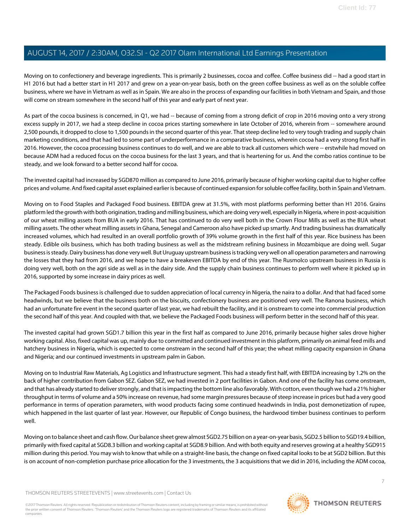Moving on to confectionery and beverage ingredients. This is primarily 2 businesses, cocoa and coffee. Coffee business did -- had a good start in H1 2016 but had a better start in H1 2017 and grew on a year-on-year basis, both on the green coffee business as well as on the soluble coffee business, where we have in Vietnam as well as in Spain. We are also in the process of expanding our facilities in both Vietnam and Spain, and those will come on stream somewhere in the second half of this year and early part of next year.

As part of the cocoa business is concerned, in Q1, we had -- because of coming from a strong deficit of crop in 2016 moving onto a very strong excess supply in 2017, we had a steep decline in cocoa prices starting somewhere in late October of 2016, wherein from -- somewhere around 2,500 pounds, it dropped to close to 1,500 pounds in the second quarter of this year. That steep decline led to very tough trading and supply chain marketing conditions, and that had led to some part of underperformance in a comparative business, wherein cocoa had a very strong first half in 2016. However, the cocoa processing business continues to do well, and we are able to track all customers which were -- erstwhile had moved on because ADM had a reduced focus on the cocoa business for the last 3 years, and that is heartening for us. And the combo ratios continue to be steady, and we look forward to a better second half for cocoa.

The invested capital had increased by SGD870 million as compared to June 2016, primarily because of higher working capital due to higher coffee prices and volume. And fixed capital asset explained earlier is because of continued expansion for soluble coffee facility, both in Spain and Vietnam.

Moving on to Food Staples and Packaged Food business. EBITDA grew at 31.5%, with most platforms performing better than H1 2016. Grains platform led the growth with both origination, trading and milling business, which are doing very well, especially in Nigeria, where in post-acquisition of our wheat milling assets from BUA in early 2016. That has continued to do very well both in the Crown Flour Mills as well as the BUA wheat milling assets. The other wheat milling assets in Ghana, Senegal and Cameroon also have picked up smartly. And trading business has dramatically increased volumes, which had resulted in an overall portfolio growth of 39% volume growth in the first half of this year. Rice business has been steady. Edible oils business, which has both trading business as well as the midstream refining business in Mozambique are doing well. Sugar business is steady. Dairy business has done very well. But Uruguay upstream business is tracking very well on all operation parameters and narrowing the losses that they had from 2016, and we hope to have a breakeven EBITDA by end of this year. The Rusmolco upstream business in Russia is doing very well, both on the agri side as well as in the dairy side. And the supply chain business continues to perform well where it picked up in 2016, supported by some increase in dairy prices as well.

The Packaged Foods business is challenged due to sudden appreciation of local currency in Nigeria, the naira to a dollar. And that had faced some headwinds, but we believe that the business both on the biscuits, confectionery business are positioned very well. The Ranona business, which had an unfortunate fire event in the second quarter of last year, we had rebuilt the facility, and it is onstream to come into commercial production the second half of this year. And coupled with that, we believe the Packaged Foods business will perform better in the second half of this year.

The invested capital had grown SGD1.7 billion this year in the first half as compared to June 2016, primarily because higher sales drove higher working capital. Also, fixed capital was up, mainly due to committed and continued investment in this platform, primarily on animal feed mills and hatchery business in Nigeria, which is expected to come onstream in the second half of this year; the wheat milling capacity expansion in Ghana and Nigeria; and our continued investments in upstream palm in Gabon.

Moving on to Industrial Raw Materials, Ag Logistics and Infrastructure segment. This had a steady first half, with EBITDA increasing by 1.2% on the back of higher contribution from Gabon SEZ. Gabon SEZ, we had invested in 2 port facilities in Gabon. And one of the facility has come onstream, and that has already started to deliver strongly, and that is impacting the bottom line also favorably. With cotton, even though we had a 21% higher throughput in terms of volume and a 50% increase on revenue, had some margin pressures because of steep increase in prices but had a very good performance in terms of operation parameters, with wood products facing some continued headwinds in India, post demonetization of rupee, which happened in the last quarter of last year. However, our Republic of Congo business, the hardwood timber business continues to perform well.

Moving on to balance sheet and cash flow. Our balance sheet grew almost SGD2.75 billion on a year-on-year basis, SGD2.5 billion to SGD19.4 billion, primarily with fixed capital at SGD8.3 billion and working capital at SGD8.9 billion. And with both equity and reserves growing at a healthy SGD915 million during this period. You may wish to know that while on a straight-line basis, the change on fixed capital looks to be at SGD2 billion. But this is on account of non-completion purchase price allocation for the 3 investments, the 3 acquisitions that we did in 2016, including the ADM cocoa,

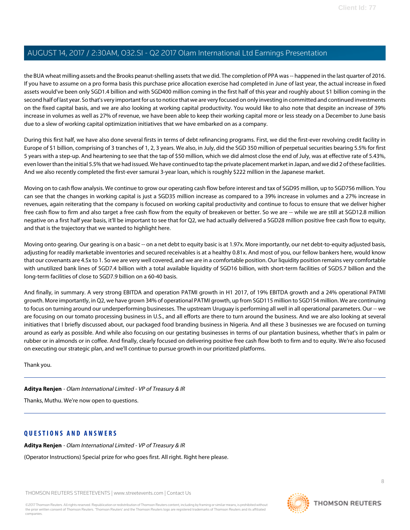the BUA wheat milling assets and the Brooks peanut-shelling assets that we did. The completion of PPA was -- happened in the last quarter of 2016. If you have to assume on a pro forma basis this purchase price allocation exercise had completed in June of last year, the actual increase in fixed assets would've been only SGD1.4 billion and with SGD400 million coming in the first half of this year and roughly about \$1 billion coming in the second half of last year. So that's very important for us to notice that we are very focused on only investing in committed and continued investments on the fixed capital basis, and we are also looking at working capital productivity. You would like to also note that despite an increase of 39% increase in volumes as well as 27% of revenue, we have been able to keep their working capital more or less steady on a December to June basis due to a slew of working capital optimization initiatives that we have embarked on as a company.

During this first half, we have also done several firsts in terms of debt refinancing programs. First, we did the first-ever revolving credit facility in Europe of \$1 billion, comprising of 3 tranches of 1, 2, 3 years. We also, in July, did the SGD 350 million of perpetual securities bearing 5.5% for first 5 years with a step-up. And heartening to see that the tap of \$50 million, which we did almost close the end of July, was at effective rate of 5.43%, even lower than the initial 5.5% that we had issued. We have continued to tap the private placement market in Japan, and we did 2 of these facilities. And we also recently completed the first-ever samurai 3-year loan, which is roughly \$222 million in the Japanese market.

Moving on to cash flow analysis. We continue to grow our operating cash flow before interest and tax of SGD95 million, up to SGD756 million. You can see that the changes in working capital is just a SGD35 million increase as compared to a 39% increase in volumes and a 27% increase in revenues, again reiterating that the company is focused on working capital productivity and continue to focus to ensure that we deliver higher free cash flow to firm and also target a free cash flow from the equity of breakeven or better. So we are -- while we are still at SGD12.8 million negative on a first half year basis, it'll be important to see that for Q2, we had actually delivered a SGD28 million positive free cash flow to equity, and that is the trajectory that we wanted to highlight here.

Moving onto gearing. Our gearing is on a basic -- on a net debt to equity basic is at 1.97x. More importantly, our net debt-to-equity adjusted basis, adjusting for readily marketable inventories and secured receivables is at a healthy 0.81x. And most of you, our fellow bankers here, would know that our covenants are 4.5x to 1. So we are very well covered, and we are in a comfortable position. Our liquidity position remains very comfortable with unutilized bank lines of SGD7.4 billion with a total available liquidity of SGD16 billion, with short-term facilities of SGD5.7 billion and the long-term facilities of close to SGD7.9 billion on a 60-40 basis.

And finally, in summary. A very strong EBITDA and operation PATMI growth in H1 2017, of 19% EBITDA growth and a 24% operational PATMI growth. More importantly, in Q2, we have grown 34% of operational PATMI growth, up from SGD115 million to SGD154 million. We are continuing to focus on turning around our underperforming businesses. The upstream Uruguay is performing all well in all operational parameters. Our -- we are focusing on our tomato processing business in U.S., and all efforts are there to turn around the business. And we are also looking at several initiatives that I briefly discussed about, our packaged food branding business in Nigeria. And all these 3 businesses we are focused on turning around as early as possible. And while also focusing on our gestating businesses in terms of our plantation business, whether that's in palm or rubber or in almonds or in coffee. And finally, clearly focused on delivering positive free cash flow both to firm and to equity. We're also focused on executing our strategic plan, and we'll continue to pursue growth in our prioritized platforms.

Thank you.

**Aditya Renjen** - Olam International Limited - VP of Treasury & IR

Thanks, Muthu. We're now open to questions.

#### **QUESTIONS AND ANSWERS**

**Aditya Renjen** - Olam International Limited - VP of Treasury & IR

(Operator Instructions) Special prize for who goes first. All right. Right here please.

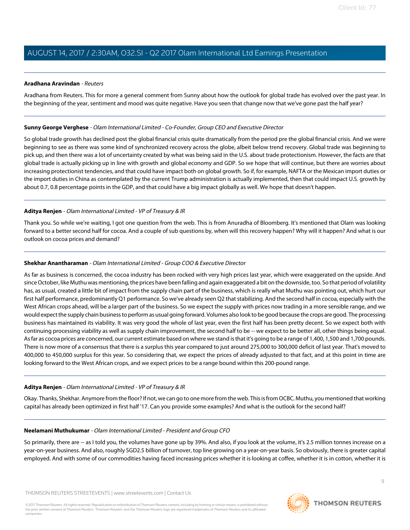#### <span id="page-8-1"></span>**Aradhana Aravindan** - Reuters

Aradhana from Reuters. This for more a general comment from Sunny about how the outlook for global trade has evolved over the past year. In the beginning of the year, sentiment and mood was quite negative. Have you seen that change now that we've gone past the half year?

#### **Sunny George Verghese** - Olam International Limited - Co-Founder, Group CEO and Executive Director

So global trade growth has declined post the global financial crisis quite dramatically from the period pre the global financial crisis. And we were beginning to see as there was some kind of synchronized recovery across the globe, albeit below trend recovery. Global trade was beginning to pick up, and then there was a lot of uncertainty created by what was being said in the U.S. about trade protectionism. However, the facts are that global trade is actually picking up in line with growth and global economy and GDP. So we hope that will continue, but there are worries about increasing protectionist tendencies, and that could have impact both on global growth. So if, for example, NAFTA or the Mexican import duties or the import duties in China as contemplated by the current Trump administration is actually implemented, then that could impact U.S. growth by about 0.7, 0.8 percentage points in the GDP, and that could have a big impact globally as well. We hope that doesn't happen.

#### **Aditya Renjen** - Olam International Limited - VP of Treasury & IR

<span id="page-8-0"></span>Thank you. So while we're waiting, I got one question from the web. This is from Anuradha of Bloomberg. It's mentioned that Olam was looking forward to a better second half for cocoa. And a couple of sub questions by, when will this recovery happen? Why will it happen? And what is our outlook on cocoa prices and demand?

#### **Shekhar Anantharaman** - Olam International Limited - Group COO & Executive Director

As far as business is concerned, the cocoa industry has been rocked with very high prices last year, which were exaggerated on the upside. And since October, like Muthu was mentioning, the prices have been falling and again exaggerated a bit on the downside, too. So that period of volatility has, as usual, created a little bit of impact from the supply chain part of the business, which is really what Muthu was pointing out, which hurt our first half performance, predominantly Q1 performance. So we've already seen Q2 that stabilizing. And the second half in cocoa, especially with the West African crops ahead, will be a larger part of the business. So we expect the supply with prices now trading in a more sensible range, and we would expect the supply chain business to perform as usual going forward. Volumes also look to be good because the crops are good. The processing business has maintained its viability. It was very good the whole of last year, even the first half has been pretty decent. So we expect both with continuing processing viability as well as supply chain improvement, the second half to be -- we expect to be better all, other things being equal. As far as cocoa prices are concerned, our current estimate based on where we stand is that it's going to be a range of 1,400, 1,500 and 1,700 pounds. There is now more of a consensus that there is a surplus this year compared to just around 275,000 to 300,000 deficit of last year. That's moved to 400,000 to 450,000 surplus for this year. So considering that, we expect the prices of already adjusted to that fact, and at this point in time are looking forward to the West African crops, and we expect prices to be a range bound within this 200-pound range.

#### **Aditya Renjen** - Olam International Limited - VP of Treasury & IR

Okay. Thanks, Shekhar. Anymore from the floor? If not, we can go to one more from the web. This is from OCBC. Muthu, you mentioned that working capital has already been optimized in first half '17. Can you provide some examples? And what is the outlook for the second half?

#### **Neelamani Muthukumar** - Olam International Limited - President and Group CFO

So primarily, there are -- as I told you, the volumes have gone up by 39%. And also, if you look at the volume, it's 2.5 million tonnes increase on a year-on-year business. And also, roughly SGD2.5 billion of turnover, top line growing on a year-on-year basis. So obviously, there is greater capital employed. And with some of our commodities having faced increasing prices whether it is looking at coffee, whether it is in cotton, whether it is

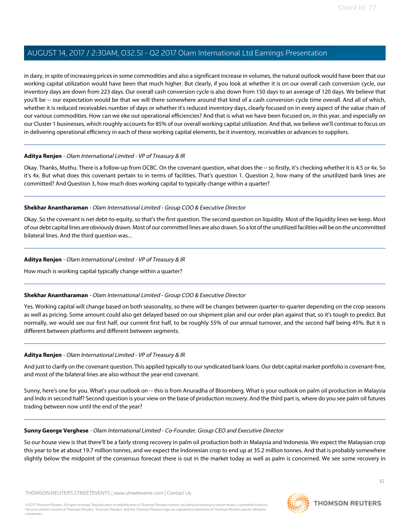in dairy, in spite of increasing prices in some commodities and also a significant increase in volumes, the natural outlook would have been that our working capital utilization would have been that much higher. But clearly, if you look at whether it is on our overall cash conversion cycle, our inventory days are down from 223 days. Our overall cash conversion cycle is also down from 150 days to an average of 120 days. We believe that you'll be -- our expectation would be that we will there somewhere around that kind of a cash conversion cycle time overall. And all of which, whether it is reduced receivables number of days or whether it's reduced inventory days, clearly focused on in every aspect of the value chain of our various commodities. How can we eke out operational efficiencies? And that is what we have been focused on, in this year, and especially on our Cluster 1 businesses, which roughly accounts for 85% of our overall working capital utilization. And that, we believe we'll continue to focus on in delivering operational efficiency in each of these working capital elements, be it inventory, receivables or advances to suppliers.

#### **Aditya Renjen** - Olam International Limited - VP of Treasury & IR

Okay. Thanks, Muthu. There is a follow-up from OCBC. On the covenant question, what does the -- so firstly, it's checking whether it is 4.5 or 4x. So it's 4x. But what does this covenant pertain to in terms of facilities. That's question 1. Question 2, how many of the unutilized bank lines are committed? And Question 3, how much does working capital to typically change within a quarter?

#### **Shekhar Anantharaman** - Olam International Limited - Group COO & Executive Director

Okay. So the covenant is net debt-to-equity, so that's the first question. The second question on liquidity. Most of the liquidity lines we keep. Most of our debt capital lines are obviously drawn. Most of our committed lines are also drawn. So a lot of the unutilized facilities will be on the uncommitted bilateral lines. And the third question was...

#### **Aditya Renjen** - Olam International Limited - VP of Treasury & IR

How much is working capital typically change within a quarter?

#### **Shekhar Anantharaman** - Olam International Limited - Group COO & Executive Director

Yes. Working capital will change based on both seasonality, so there will be changes between quarter-to-quarter depending on the crop seasons as well as pricing. Some amount could also get delayed based on our shipment plan and our order plan against that, so it's tough to predict. But normally, we would see our first half, our current first half, to be roughly 55% of our annual turnover, and the second half being 45%. But it is different between platforms and different between segments.

#### **Aditya Renjen** - Olam International Limited - VP of Treasury & IR

And just to clarify on the covenant question. This applied typically to our syndicated bank loans. Our debt capital market portfolio is covenant-free, and most of the bilateral lines are also without the year-end covenant.

Sunny, here's one for you. What's your outlook on -- this is from Anuradha of Bloomberg. What is your outlook on palm oil production in Malaysia and Indo in second half? Second question is your view on the base of production recovery. And the third part is, where do you see palm oil futures trading between now until the end of the year?

#### **Sunny George Verghese** - Olam International Limited - Co-Founder, Group CEO and Executive Director

So our house view is that there'll be a fairly strong recovery in palm oil production both in Malaysia and Indonesia. We expect the Malaysian crop this year to be at about 19.7 million tonnes, and we expect the Indonesian crop to end up at 35.2 million tonnes. And that is probably somewhere slightly below the midpoint of the consensus forecast there is out in the market today as well as palm is concerned. We see some recovery in

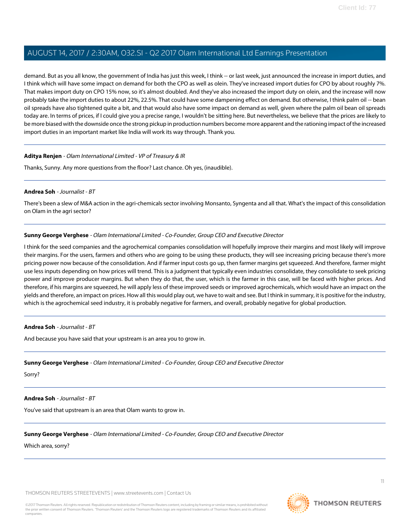demand. But as you all know, the government of India has just this week, I think -- or last week, just announced the increase in import duties, and I think which will have some impact on demand for both the CPO as well as olein. They've increased import duties for CPO by about roughly 7%. That makes import duty on CPO 15% now, so it's almost doubled. And they've also increased the import duty on olein, and the increase will now probably take the import duties to about 22%, 22.5%. That could have some dampening effect on demand. But otherwise, I think palm oil -- bean oil spreads have also tightened quite a bit, and that would also have some impact on demand as well, given where the palm oil bean oil spreads today are. In terms of prices, if I could give you a precise range, I wouldn't be sitting here. But nevertheless, we believe that the prices are likely to be more biased with the downside once the strong pickup in production numbers become more apparent and the rationing impact of the increased import duties in an important market like India will work its way through. Thank you.

#### **Aditya Renjen** - Olam International Limited - VP of Treasury & IR

<span id="page-10-0"></span>Thanks, Sunny. Any more questions from the floor? Last chance. Oh yes, (inaudible).

#### **Andrea Soh** - Journalist - BT

There's been a slew of M&A action in the agri-chemicals sector involving Monsanto, Syngenta and all that. What's the impact of this consolidation on Olam in the agri sector?

#### **Sunny George Verghese** - Olam International Limited - Co-Founder, Group CEO and Executive Director

I think for the seed companies and the agrochemical companies consolidation will hopefully improve their margins and most likely will improve their margins. For the users, farmers and others who are going to be using these products, they will see increasing pricing because there's more pricing power now because of the consolidation. And if farmer input costs go up, then farmer margins get squeezed. And therefore, farmer might use less inputs depending on how prices will trend. This is a judgment that typically even industries consolidate, they consolidate to seek pricing power and improve producer margins. But when they do that, the user, which is the farmer in this case, will be faced with higher prices. And therefore, if his margins are squeezed, he will apply less of these improved seeds or improved agrochemicals, which would have an impact on the yields and therefore, an impact on prices. How all this would play out, we have to wait and see. But I think in summary, it is positive for the industry, which is the agrochemical seed industry, it is probably negative for farmers, and overall, probably negative for global production.

#### **Andrea Soh** - Journalist - BT

And because you have said that your upstream is an area you to grow in.

#### **Sunny George Verghese** - Olam International Limited - Co-Founder, Group CEO and Executive Director

Sorry?

## **Andrea Soh** - Journalist - BT

You've said that upstream is an area that Olam wants to grow in.

## **Sunny George Verghese** - Olam International Limited - Co-Founder, Group CEO and Executive Director

Which area, sorry?

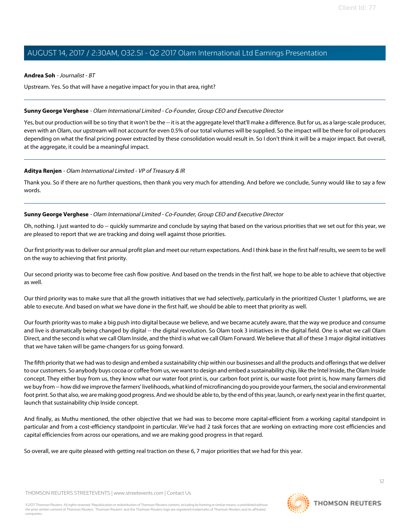#### **Andrea Soh** - Journalist - BT

Upstream. Yes. So that will have a negative impact for you in that area, right?

#### **Sunny George Verghese** - Olam International Limited - Co-Founder, Group CEO and Executive Director

Yes, but our production will be so tiny that it won't be the -- it is at the aggregate level that'll make a difference. But for us, as a large-scale producer, even with an Olam, our upstream will not account for even 0.5% of our total volumes will be supplied. So the impact will be there for oil producers depending on what the final pricing power extracted by these consolidation would result in. So I don't think it will be a major impact. But overall, at the aggregate, it could be a meaningful impact.

#### **Aditya Renjen** - Olam International Limited - VP of Treasury & IR

Thank you. So if there are no further questions, then thank you very much for attending. And before we conclude, Sunny would like to say a few words.

#### **Sunny George Verghese** - Olam International Limited - Co-Founder, Group CEO and Executive Director

Oh, nothing. I just wanted to do -- quickly summarize and conclude by saying that based on the various priorities that we set out for this year, we are pleased to report that we are tracking and doing well against those priorities.

Our first priority was to deliver our annual profit plan and meet our return expectations. And I think base in the first half results, we seem to be well on the way to achieving that first priority.

Our second priority was to become free cash flow positive. And based on the trends in the first half, we hope to be able to achieve that objective as well.

Our third priority was to make sure that all the growth initiatives that we had selectively, particularly in the prioritized Cluster 1 platforms, we are able to execute. And based on what we have done in the first half, we should be able to meet that priority as well.

Our fourth priority was to make a big push into digital because we believe, and we became acutely aware, that the way we produce and consume and live is dramatically being changed by digital -- the digital revolution. So Olam took 3 initiatives in the digital field. One is what we call Olam Direct, and the second is what we call Olam Inside, and the third is what we call Olam Forward. We believe that all of these 3 major digital initiatives that we have taken will be game-changers for us going forward.

The fifth priority that we had was to design and embed a sustainability chip within our businesses and all the products and offerings that we deliver to our customers. So anybody buys cocoa or coffee from us, we want to design and embed a sustainability chip, like the Intel Inside, the Olam Inside concept. They either buy from us, they know what our water foot print is, our carbon foot print is, our waste foot print is, how many farmers did we buy from -- how did we improve the farmers' livelihoods, what kind of microfinancing do you provide your farmers, the social and environmental foot print. So that also, we are making good progress. And we should be able to, by the end of this year, launch, or early next year in the first quarter, launch that sustainability chip Inside concept.

And finally, as Muthu mentioned, the other objective that we had was to become more capital-efficient from a working capital standpoint in particular and from a cost-efficiency standpoint in particular. We've had 2 task forces that are working on extracting more cost efficiencies and capital efficiencies from across our operations, and we are making good progress in that regard.

So overall, we are quite pleased with getting real traction on these 6, 7 major priorities that we had for this year.